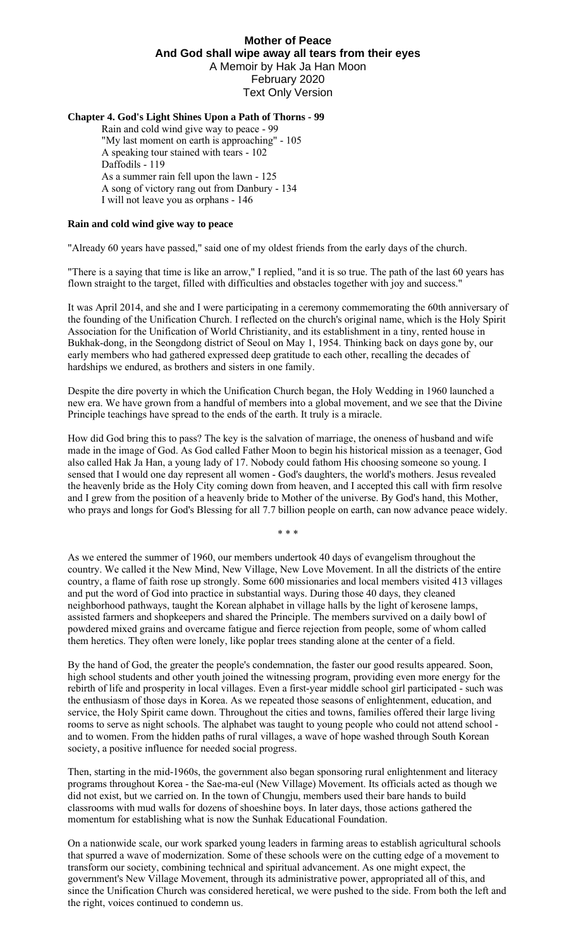# **Mother of Peace And God shall wipe away all tears from their eyes** A Memoir by Hak Ja Han Moon February 2020 Text Only Version

# **Chapter 4. God's Light Shines Upon a Path of Thorns - 99**

Rain and cold wind give way to peace - 99 "My last moment on earth is approaching" - 105 A speaking tour stained with tears - 102 Daffodils - 119 As a summer rain fell upon the lawn - 125 A song of victory rang out from Danbury - 134 I will not leave you as orphans - 146

### **Rain and cold wind give way to peace**

"Already 60 years have passed," said one of my oldest friends from the early days of the church.

"There is a saying that time is like an arrow," I replied, "and it is so true. The path of the last 60 years has flown straight to the target, filled with difficulties and obstacles together with joy and success."

It was April 2014, and she and I were participating in a ceremony commemorating the 60th anniversary of the founding of the Unification Church. I reflected on the church's original name, which is the Holy Spirit Association for the Unification of World Christianity, and its establishment in a tiny, rented house in Bukhak-dong, in the Seongdong district of Seoul on May 1, 1954. Thinking back on days gone by, our early members who had gathered expressed deep gratitude to each other, recalling the decades of hardships we endured, as brothers and sisters in one family.

Despite the dire poverty in which the Unification Church began, the Holy Wedding in 1960 launched a new era. We have grown from a handful of members into a global movement, and we see that the Divine Principle teachings have spread to the ends of the earth. It truly is a miracle.

How did God bring this to pass? The key is the salvation of marriage, the oneness of husband and wife made in the image of God. As God called Father Moon to begin his historical mission as a teenager, God also called Hak Ja Han, a young lady of 17. Nobody could fathom His choosing someone so young. I sensed that I would one day represent all women - God's daughters, the world's mothers. Jesus revealed the heavenly bride as the Holy City coming down from heaven, and I accepted this call with firm resolve and I grew from the position of a heavenly bride to Mother of the universe. By God's hand, this Mother, who prays and longs for God's Blessing for all 7.7 billion people on earth, can now advance peace widely.

\* \* \*

As we entered the summer of 1960, our members undertook 40 days of evangelism throughout the country. We called it the New Mind, New Village, New Love Movement. In all the districts of the entire country, a flame of faith rose up strongly. Some 600 missionaries and local members visited 413 villages and put the word of God into practice in substantial ways. During those 40 days, they cleaned neighborhood pathways, taught the Korean alphabet in village halls by the light of kerosene lamps, assisted farmers and shopkeepers and shared the Principle. The members survived on a daily bowl of powdered mixed grains and overcame fatigue and fierce rejection from people, some of whom called them heretics. They often were lonely, like poplar trees standing alone at the center of a field.

By the hand of God, the greater the people's condemnation, the faster our good results appeared. Soon, high school students and other youth joined the witnessing program, providing even more energy for the rebirth of life and prosperity in local villages. Even a first-year middle school girl participated - such was the enthusiasm of those days in Korea. As we repeated those seasons of enlightenment, education, and service, the Holy Spirit came down. Throughout the cities and towns, families offered their large living rooms to serve as night schools. The alphabet was taught to young people who could not attend school and to women. From the hidden paths of rural villages, a wave of hope washed through South Korean society, a positive influence for needed social progress.

Then, starting in the mid-1960s, the government also began sponsoring rural enlightenment and literacy programs throughout Korea - the Sae-ma-eul (New Village) Movement. Its officials acted as though we did not exist, but we carried on. In the town of Chungju, members used their bare hands to build classrooms with mud walls for dozens of shoeshine boys. In later days, those actions gathered the momentum for establishing what is now the Sunhak Educational Foundation.

On a nationwide scale, our work sparked young leaders in farming areas to establish agricultural schools that spurred a wave of modernization. Some of these schools were on the cutting edge of a movement to transform our society, combining technical and spiritual advancement. As one might expect, the government's New Village Movement, through its administrative power, appropriated all of this, and since the Unification Church was considered heretical, we were pushed to the side. From both the left and the right, voices continued to condemn us.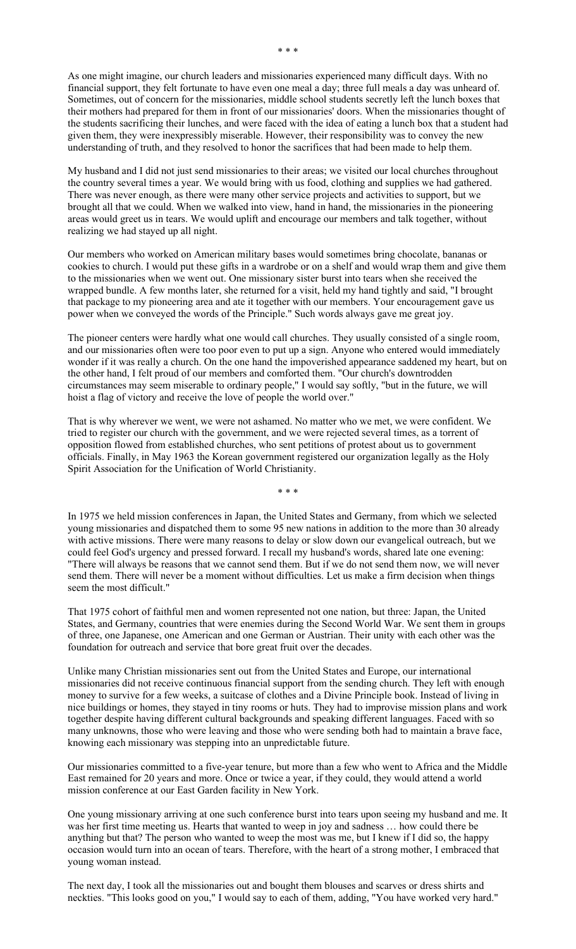As one might imagine, our church leaders and missionaries experienced many difficult days. With no financial support, they felt fortunate to have even one meal a day; three full meals a day was unheard of. Sometimes, out of concern for the missionaries, middle school students secretly left the lunch boxes that their mothers had prepared for them in front of our missionaries' doors. When the missionaries thought of the students sacrificing their lunches, and were faced with the idea of eating a lunch box that a student had given them, they were inexpressibly miserable. However, their responsibility was to convey the new understanding of truth, and they resolved to honor the sacrifices that had been made to help them.

My husband and I did not just send missionaries to their areas; we visited our local churches throughout the country several times a year. We would bring with us food, clothing and supplies we had gathered. There was never enough, as there were many other service projects and activities to support, but we brought all that we could. When we walked into view, hand in hand, the missionaries in the pioneering areas would greet us in tears. We would uplift and encourage our members and talk together, without realizing we had stayed up all night.

Our members who worked on American military bases would sometimes bring chocolate, bananas or cookies to church. I would put these gifts in a wardrobe or on a shelf and would wrap them and give them to the missionaries when we went out. One missionary sister burst into tears when she received the wrapped bundle. A few months later, she returned for a visit, held my hand tightly and said, "I brought that package to my pioneering area and ate it together with our members. Your encouragement gave us power when we conveyed the words of the Principle." Such words always gave me great joy.

The pioneer centers were hardly what one would call churches. They usually consisted of a single room, and our missionaries often were too poor even to put up a sign. Anyone who entered would immediately wonder if it was really a church. On the one hand the impoverished appearance saddened my heart, but on the other hand, I felt proud of our members and comforted them. "Our church's downtrodden circumstances may seem miserable to ordinary people," I would say softly, "but in the future, we will hoist a flag of victory and receive the love of people the world over."

That is why wherever we went, we were not ashamed. No matter who we met, we were confident. We tried to register our church with the government, and we were rejected several times, as a torrent of opposition flowed from established churches, who sent petitions of protest about us to government officials. Finally, in May 1963 the Korean government registered our organization legally as the Holy Spirit Association for the Unification of World Christianity.

\* \* \*

In 1975 we held mission conferences in Japan, the United States and Germany, from which we selected young missionaries and dispatched them to some 95 new nations in addition to the more than 30 already with active missions. There were many reasons to delay or slow down our evangelical outreach, but we could feel God's urgency and pressed forward. I recall my husband's words, shared late one evening: "There will always be reasons that we cannot send them. But if we do not send them now, we will never send them. There will never be a moment without difficulties. Let us make a firm decision when things seem the most difficult."

That 1975 cohort of faithful men and women represented not one nation, but three: Japan, the United States, and Germany, countries that were enemies during the Second World War. We sent them in groups of three, one Japanese, one American and one German or Austrian. Their unity with each other was the foundation for outreach and service that bore great fruit over the decades.

Unlike many Christian missionaries sent out from the United States and Europe, our international missionaries did not receive continuous financial support from the sending church. They left with enough money to survive for a few weeks, a suitcase of clothes and a Divine Principle book. Instead of living in nice buildings or homes, they stayed in tiny rooms or huts. They had to improvise mission plans and work together despite having different cultural backgrounds and speaking different languages. Faced with so many unknowns, those who were leaving and those who were sending both had to maintain a brave face, knowing each missionary was stepping into an unpredictable future.

Our missionaries committed to a five-year tenure, but more than a few who went to Africa and the Middle East remained for 20 years and more. Once or twice a year, if they could, they would attend a world mission conference at our East Garden facility in New York.

One young missionary arriving at one such conference burst into tears upon seeing my husband and me. It was her first time meeting us. Hearts that wanted to weep in joy and sadness … how could there be anything but that? The person who wanted to weep the most was me, but I knew if I did so, the happy occasion would turn into an ocean of tears. Therefore, with the heart of a strong mother, I embraced that young woman instead.

The next day, I took all the missionaries out and bought them blouses and scarves or dress shirts and neckties. "This looks good on you," I would say to each of them, adding, "You have worked very hard."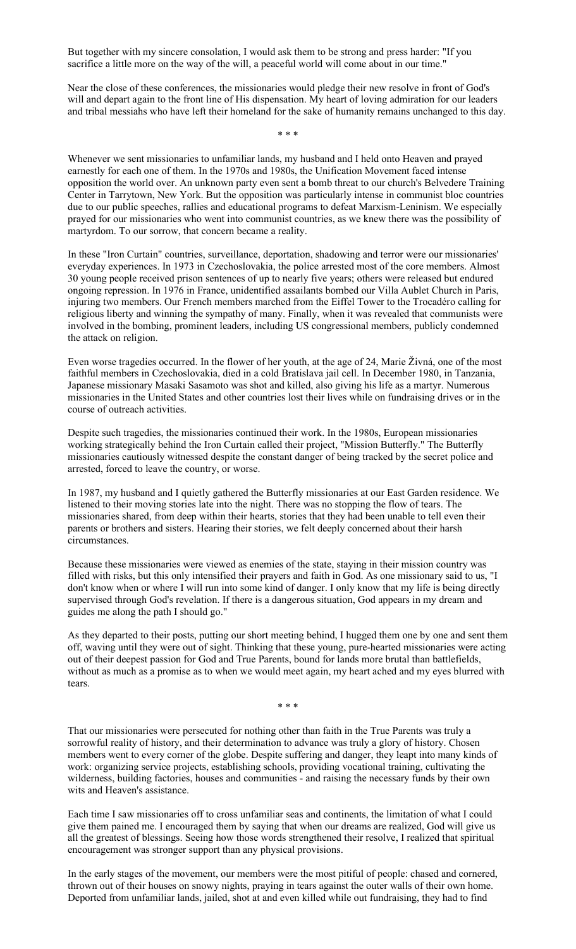But together with my sincere consolation, I would ask them to be strong and press harder: "If you sacrifice a little more on the way of the will, a peaceful world will come about in our time."

Near the close of these conferences, the missionaries would pledge their new resolve in front of God's will and depart again to the front line of His dispensation. My heart of loving admiration for our leaders and tribal messiahs who have left their homeland for the sake of humanity remains unchanged to this day.

\* \* \*

Whenever we sent missionaries to unfamiliar lands, my husband and I held onto Heaven and prayed earnestly for each one of them. In the 1970s and 1980s, the Unification Movement faced intense opposition the world over. An unknown party even sent a bomb threat to our church's Belvedere Training Center in Tarrytown, New York. But the opposition was particularly intense in communist bloc countries due to our public speeches, rallies and educational programs to defeat Marxism-Leninism. We especially prayed for our missionaries who went into communist countries, as we knew there was the possibility of martyrdom. To our sorrow, that concern became a reality.

In these "Iron Curtain" countries, surveillance, deportation, shadowing and terror were our missionaries' everyday experiences. In 1973 in Czechoslovakia, the police arrested most of the core members. Almost 30 young people received prison sentences of up to nearly five years; others were released but endured ongoing repression. In 1976 in France, unidentified assailants bombed our Villa Aublet Church in Paris, injuring two members. Our French members marched from the Eiffel Tower to the Trocadéro calling for religious liberty and winning the sympathy of many. Finally, when it was revealed that communists were involved in the bombing, prominent leaders, including US congressional members, publicly condemned the attack on religion.

Even worse tragedies occurred. In the flower of her youth, at the age of 24, Marie Živná, one of the most faithful members in Czechoslovakia, died in a cold Bratislava jail cell. In December 1980, in Tanzania, Japanese missionary Masaki Sasamoto was shot and killed, also giving his life as a martyr. Numerous missionaries in the United States and other countries lost their lives while on fundraising drives or in the course of outreach activities.

Despite such tragedies, the missionaries continued their work. In the 1980s, European missionaries working strategically behind the Iron Curtain called their project, "Mission Butterfly." The Butterfly missionaries cautiously witnessed despite the constant danger of being tracked by the secret police and arrested, forced to leave the country, or worse.

In 1987, my husband and I quietly gathered the Butterfly missionaries at our East Garden residence. We listened to their moving stories late into the night. There was no stopping the flow of tears. The missionaries shared, from deep within their hearts, stories that they had been unable to tell even their parents or brothers and sisters. Hearing their stories, we felt deeply concerned about their harsh circumstances.

Because these missionaries were viewed as enemies of the state, staying in their mission country was filled with risks, but this only intensified their prayers and faith in God. As one missionary said to us, "I don't know when or where I will run into some kind of danger. I only know that my life is being directly supervised through God's revelation. If there is a dangerous situation, God appears in my dream and guides me along the path I should go."

As they departed to their posts, putting our short meeting behind, I hugged them one by one and sent them off, waving until they were out of sight. Thinking that these young, pure-hearted missionaries were acting out of their deepest passion for God and True Parents, bound for lands more brutal than battlefields, without as much as a promise as to when we would meet again, my heart ached and my eyes blurred with tears.

\* \* \*

That our missionaries were persecuted for nothing other than faith in the True Parents was truly a sorrowful reality of history, and their determination to advance was truly a glory of history. Chosen members went to every corner of the globe. Despite suffering and danger, they leapt into many kinds of work: organizing service projects, establishing schools, providing vocational training, cultivating the wilderness, building factories, houses and communities - and raising the necessary funds by their own wits and Heaven's assistance.

Each time I saw missionaries off to cross unfamiliar seas and continents, the limitation of what I could give them pained me. I encouraged them by saying that when our dreams are realized, God will give us all the greatest of blessings. Seeing how those words strengthened their resolve, I realized that spiritual encouragement was stronger support than any physical provisions.

In the early stages of the movement, our members were the most pitiful of people: chased and cornered, thrown out of their houses on snowy nights, praying in tears against the outer walls of their own home. Deported from unfamiliar lands, jailed, shot at and even killed while out fundraising, they had to find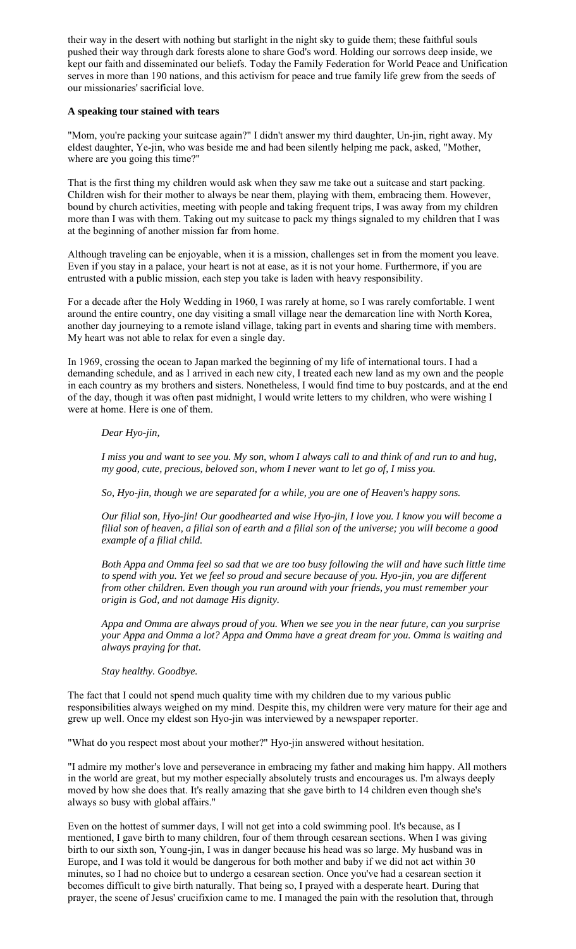their way in the desert with nothing but starlight in the night sky to guide them; these faithful souls pushed their way through dark forests alone to share God's word. Holding our sorrows deep inside, we kept our faith and disseminated our beliefs. Today the Family Federation for World Peace and Unification serves in more than 190 nations, and this activism for peace and true family life grew from the seeds of our missionaries' sacrificial love.

## **A speaking tour stained with tears**

"Mom, you're packing your suitcase again?" I didn't answer my third daughter, Un-jin, right away. My eldest daughter, Ye-jin, who was beside me and had been silently helping me pack, asked, "Mother, where are you going this time?"

That is the first thing my children would ask when they saw me take out a suitcase and start packing. Children wish for their mother to always be near them, playing with them, embracing them. However, bound by church activities, meeting with people and taking frequent trips, I was away from my children more than I was with them. Taking out my suitcase to pack my things signaled to my children that I was at the beginning of another mission far from home.

Although traveling can be enjoyable, when it is a mission, challenges set in from the moment you leave. Even if you stay in a palace, your heart is not at ease, as it is not your home. Furthermore, if you are entrusted with a public mission, each step you take is laden with heavy responsibility.

For a decade after the Holy Wedding in 1960, I was rarely at home, so I was rarely comfortable. I went around the entire country, one day visiting a small village near the demarcation line with North Korea, another day journeying to a remote island village, taking part in events and sharing time with members. My heart was not able to relax for even a single day.

In 1969, crossing the ocean to Japan marked the beginning of my life of international tours. I had a demanding schedule, and as I arrived in each new city, I treated each new land as my own and the people in each country as my brothers and sisters. Nonetheless, I would find time to buy postcards, and at the end of the day, though it was often past midnight, I would write letters to my children, who were wishing I were at home. Here is one of them.

### *Dear Hyo-jin,*

*I miss you and want to see you. My son, whom I always call to and think of and run to and hug, my good, cute, precious, beloved son, whom I never want to let go of, I miss you.*

*So, Hyo-jin, though we are separated for a while, you are one of Heaven's happy sons.*

*Our filial son, Hyo-jin! Our goodhearted and wise Hyo-jin, I love you. I know you will become a filial son of heaven, a filial son of earth and a filial son of the universe; you will become a good example of a filial child.*

*Both Appa and Omma feel so sad that we are too busy following the will and have such little time to spend with you. Yet we feel so proud and secure because of you. Hyo-jin, you are different from other children. Even though you run around with your friends, you must remember your origin is God, and not damage His dignity.*

*Appa and Omma are always proud of you. When we see you in the near future, can you surprise your Appa and Omma a lot? Appa and Omma have a great dream for you. Omma is waiting and always praying for that.*

#### *Stay healthy. Goodbye.*

The fact that I could not spend much quality time with my children due to my various public responsibilities always weighed on my mind. Despite this, my children were very mature for their age and grew up well. Once my eldest son Hyo-jin was interviewed by a newspaper reporter.

"What do you respect most about your mother?" Hyo-jin answered without hesitation.

"I admire my mother's love and perseverance in embracing my father and making him happy. All mothers in the world are great, but my mother especially absolutely trusts and encourages us. I'm always deeply moved by how she does that. It's really amazing that she gave birth to 14 children even though she's always so busy with global affairs."

Even on the hottest of summer days, I will not get into a cold swimming pool. It's because, as I mentioned, I gave birth to many children, four of them through cesarean sections. When I was giving birth to our sixth son, Young-jin, I was in danger because his head was so large. My husband was in Europe, and I was told it would be dangerous for both mother and baby if we did not act within 30 minutes, so I had no choice but to undergo a cesarean section. Once you've had a cesarean section it becomes difficult to give birth naturally. That being so, I prayed with a desperate heart. During that prayer, the scene of Jesus' crucifixion came to me. I managed the pain with the resolution that, through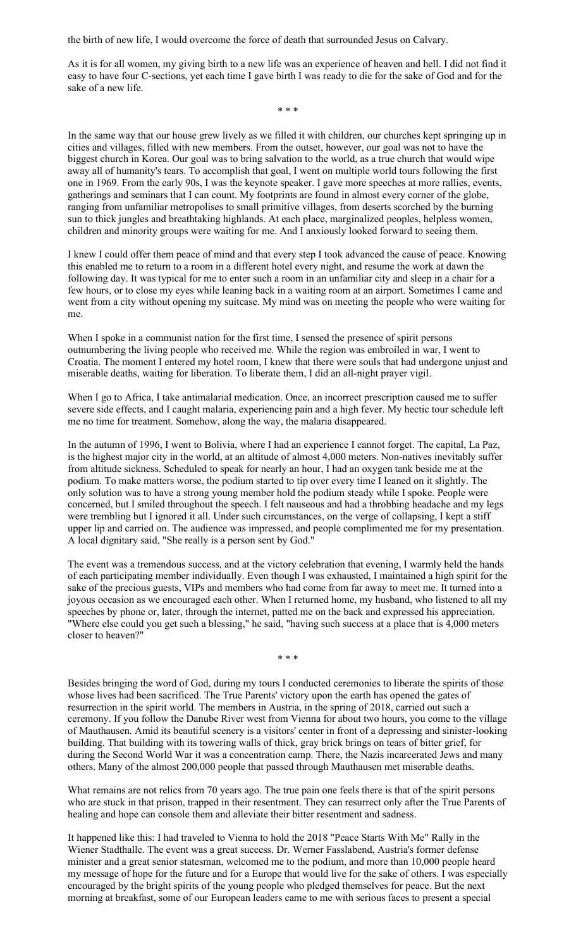the birth of new life, I would overcome the force of death that surrounded Jesus on Calvary.

As it is for all women, my giving birth to a new life was an experience of heaven and hell. I did not find it easy to have four C-sections, yet each time I gave birth I was ready to die for the sake of God and for the sake of a new life.

\* \* \*

In the same way that our house grew lively as we filled it with children, our churches kept springing up in cities and villages, filled with new members. From the outset, however, our goal was not to have the biggest church in Korea. Our goal was to bring salvation to the world, as a true church that would wipe away all of humanity's tears. To accomplish that goal, I went on multiple world tours following the first one in 1969. From the early 90s, I was the keynote speaker. I gave more speeches at more rallies, events, gatherings and seminars that I can count. My footprints are found in almost every corner of the globe, ranging from unfamiliar metropolises to small primitive villages, from deserts scorched by the burning sun to thick jungles and breathtaking highlands. At each place, marginalized peoples, helpless women, children and minority groups were waiting for me. And I anxiously looked forward to seeing them.

I knew I could offer them peace of mind and that every step I took advanced the cause of peace. Knowing this enabled me to return to a room in a different hotel every night, and resume the work at dawn the following day. It was typical for me to enter such a room in an unfamiliar city and sleep in a chair for a few hours, or to close my eyes while leaning back in a waiting room at an airport. Sometimes I came and went from a city without opening my suitcase. My mind was on meeting the people who were waiting for me.

When I spoke in a communist nation for the first time, I sensed the presence of spirit persons outnumbering the living people who received me. While the region was embroiled in war, I went to Croatia. The moment I entered my hotel room, I knew that there were souls that had undergone unjust and miserable deaths, waiting for liberation. To liberate them, I did an all-night prayer vigil.

When I go to Africa, I take antimalarial medication. Once, an incorrect prescription caused me to suffer severe side effects, and I caught malaria, experiencing pain and a high fever. My hectic tour schedule left me no time for treatment. Somehow, along the way, the malaria disappeared.

In the autumn of 1996, I went to Bolivia, where I had an experience I cannot forget. The capital, La Paz, is the highest major city in the world, at an altitude of almost 4,000 meters. Non-natives inevitably suffer from altitude sickness. Scheduled to speak for nearly an hour, I had an oxygen tank beside me at the podium. To make matters worse, the podium started to tip over every time I leaned on it slightly. The only solution was to have a strong young member hold the podium steady while I spoke. People were concerned, but I smiled throughout the speech. I felt nauseous and had a throbbing headache and my legs were trembling but I ignored it all. Under such circumstances, on the verge of collapsing, I kept a stiff upper lip and carried on. The audience was impressed, and people complimented me for my presentation. A local dignitary said, "She really is a person sent by God."

The event was a tremendous success, and at the victory celebration that evening, I warmly held the hands of each participating member individually. Even though I was exhausted, I maintained a high spirit for the sake of the precious guests, VIPs and members who had come from far away to meet me. It turned into a joyous occasion as we encouraged each other. When I returned home, my husband, who listened to all my speeches by phone or, later, through the internet, patted me on the back and expressed his appreciation. "Where else could you get such a blessing," he said, "having such success at a place that is 4,000 meters closer to heaven?"

\* \* \*

Besides bringing the word of God, during my tours I conducted ceremonies to liberate the spirits of those whose lives had been sacrificed. The True Parents' victory upon the earth has opened the gates of resurrection in the spirit world. The members in Austria, in the spring of 2018, carried out such a ceremony. If you follow the Danube River west from Vienna for about two hours, you come to the village of Mauthausen. Amid its beautiful scenery is a visitors' center in front of a depressing and sinister-looking building. That building with its towering walls of thick, gray brick brings on tears of bitter grief, for during the Second World War it was a concentration camp. There, the Nazis incarcerated Jews and many others. Many of the almost 200,000 people that passed through Mauthausen met miserable deaths.

What remains are not relics from 70 years ago. The true pain one feels there is that of the spirit persons who are stuck in that prison, trapped in their resentment. They can resurrect only after the True Parents of healing and hope can console them and alleviate their bitter resentment and sadness.

It happened like this: I had traveled to Vienna to hold the 2018 "Peace Starts With Me" Rally in the Wiener Stadthalle. The event was a great success. Dr. Werner Fasslabend, Austria's former defense minister and a great senior statesman, welcomed me to the podium, and more than 10,000 people heard my message of hope for the future and for a Europe that would live for the sake of others. I was especially encouraged by the bright spirits of the young people who pledged themselves for peace. But the next morning at breakfast, some of our European leaders came to me with serious faces to present a special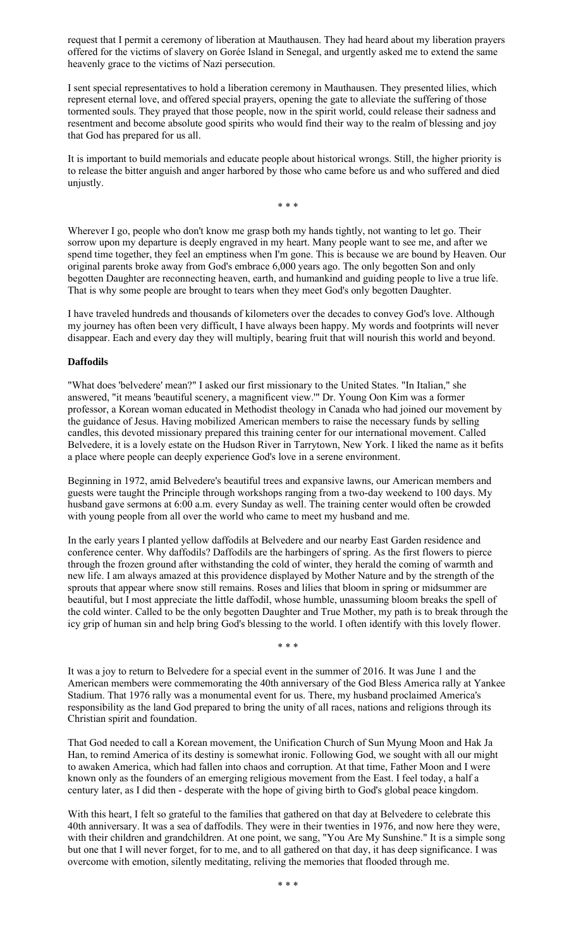request that I permit a ceremony of liberation at Mauthausen. They had heard about my liberation prayers offered for the victims of slavery on Gorée Island in Senegal, and urgently asked me to extend the same heavenly grace to the victims of Nazi persecution.

I sent special representatives to hold a liberation ceremony in Mauthausen. They presented lilies, which represent eternal love, and offered special prayers, opening the gate to alleviate the suffering of those tormented souls. They prayed that those people, now in the spirit world, could release their sadness and resentment and become absolute good spirits who would find their way to the realm of blessing and joy that God has prepared for us all.

It is important to build memorials and educate people about historical wrongs. Still, the higher priority is to release the bitter anguish and anger harbored by those who came before us and who suffered and died unjustly.

\* \* \*

Wherever I go, people who don't know me grasp both my hands tightly, not wanting to let go. Their sorrow upon my departure is deeply engraved in my heart. Many people want to see me, and after we spend time together, they feel an emptiness when I'm gone. This is because we are bound by Heaven. Our original parents broke away from God's embrace 6,000 years ago. The only begotten Son and only begotten Daughter are reconnecting heaven, earth, and humankind and guiding people to live a true life. That is why some people are brought to tears when they meet God's only begotten Daughter.

I have traveled hundreds and thousands of kilometers over the decades to convey God's love. Although my journey has often been very difficult, I have always been happy. My words and footprints will never disappear. Each and every day they will multiply, bearing fruit that will nourish this world and beyond.

### **Daffodils**

"What does 'belvedere' mean?" I asked our first missionary to the United States. "In Italian," she answered, "it means 'beautiful scenery, a magnificent view.'" Dr. Young Oon Kim was a former professor, a Korean woman educated in Methodist theology in Canada who had joined our movement by the guidance of Jesus. Having mobilized American members to raise the necessary funds by selling candles, this devoted missionary prepared this training center for our international movement. Called Belvedere, it is a lovely estate on the Hudson River in Tarrytown, New York. I liked the name as it befits a place where people can deeply experience God's love in a serene environment.

Beginning in 1972, amid Belvedere's beautiful trees and expansive lawns, our American members and guests were taught the Principle through workshops ranging from a two-day weekend to 100 days. My husband gave sermons at 6:00 a.m. every Sunday as well. The training center would often be crowded with young people from all over the world who came to meet my husband and me.

In the early years I planted yellow daffodils at Belvedere and our nearby East Garden residence and conference center. Why daffodils? Daffodils are the harbingers of spring. As the first flowers to pierce through the frozen ground after withstanding the cold of winter, they herald the coming of warmth and new life. I am always amazed at this providence displayed by Mother Nature and by the strength of the sprouts that appear where snow still remains. Roses and lilies that bloom in spring or midsummer are beautiful, but I most appreciate the little daffodil, whose humble, unassuming bloom breaks the spell of the cold winter. Called to be the only begotten Daughter and True Mother, my path is to break through the icy grip of human sin and help bring God's blessing to the world. I often identify with this lovely flower.

\* \* \*

It was a joy to return to Belvedere for a special event in the summer of 2016. It was June 1 and the American members were commemorating the 40th anniversary of the God Bless America rally at Yankee Stadium. That 1976 rally was a monumental event for us. There, my husband proclaimed America's responsibility as the land God prepared to bring the unity of all races, nations and religions through its Christian spirit and foundation.

That God needed to call a Korean movement, the Unification Church of Sun Myung Moon and Hak Ja Han, to remind America of its destiny is somewhat ironic. Following God, we sought with all our might to awaken America, which had fallen into chaos and corruption. At that time, Father Moon and I were known only as the founders of an emerging religious movement from the East. I feel today, a half a century later, as I did then - desperate with the hope of giving birth to God's global peace kingdom.

With this heart, I felt so grateful to the families that gathered on that day at Belvedere to celebrate this 40th anniversary. It was a sea of daffodils. They were in their twenties in 1976, and now here they were, with their children and grandchildren. At one point, we sang, "You Are My Sunshine." It is a simple song but one that I will never forget, for to me, and to all gathered on that day, it has deep significance. I was overcome with emotion, silently meditating, reliving the memories that flooded through me.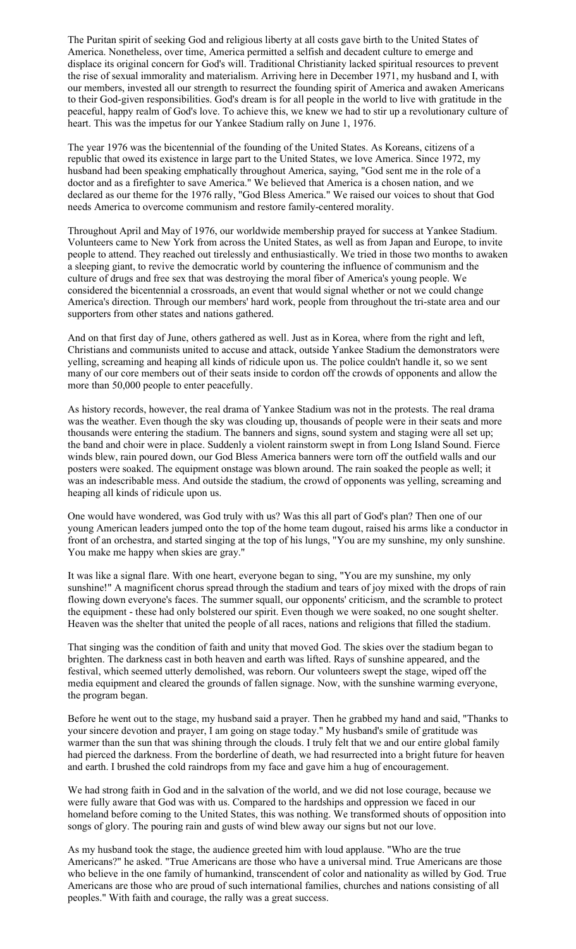The Puritan spirit of seeking God and religious liberty at all costs gave birth to the United States of America. Nonetheless, over time, America permitted a selfish and decadent culture to emerge and displace its original concern for God's will. Traditional Christianity lacked spiritual resources to prevent the rise of sexual immorality and materialism. Arriving here in December 1971, my husband and I, with our members, invested all our strength to resurrect the founding spirit of America and awaken Americans to their God-given responsibilities. God's dream is for all people in the world to live with gratitude in the peaceful, happy realm of God's love. To achieve this, we knew we had to stir up a revolutionary culture of heart. This was the impetus for our Yankee Stadium rally on June 1, 1976.

The year 1976 was the bicentennial of the founding of the United States. As Koreans, citizens of a republic that owed its existence in large part to the United States, we love America. Since 1972, my husband had been speaking emphatically throughout America, saying, "God sent me in the role of a doctor and as a firefighter to save America." We believed that America is a chosen nation, and we declared as our theme for the 1976 rally, "God Bless America." We raised our voices to shout that God needs America to overcome communism and restore family-centered morality.

Throughout April and May of 1976, our worldwide membership prayed for success at Yankee Stadium. Volunteers came to New York from across the United States, as well as from Japan and Europe, to invite people to attend. They reached out tirelessly and enthusiastically. We tried in those two months to awaken a sleeping giant, to revive the democratic world by countering the influence of communism and the culture of drugs and free sex that was destroying the moral fiber of America's young people. We considered the bicentennial a crossroads, an event that would signal whether or not we could change America's direction. Through our members' hard work, people from throughout the tri-state area and our supporters from other states and nations gathered.

And on that first day of June, others gathered as well. Just as in Korea, where from the right and left, Christians and communists united to accuse and attack, outside Yankee Stadium the demonstrators were yelling, screaming and heaping all kinds of ridicule upon us. The police couldn't handle it, so we sent many of our core members out of their seats inside to cordon off the crowds of opponents and allow the more than 50,000 people to enter peacefully.

As history records, however, the real drama of Yankee Stadium was not in the protests. The real drama was the weather. Even though the sky was clouding up, thousands of people were in their seats and more thousands were entering the stadium. The banners and signs, sound system and staging were all set up; the band and choir were in place. Suddenly a violent rainstorm swept in from Long Island Sound. Fierce winds blew, rain poured down, our God Bless America banners were torn off the outfield walls and our posters were soaked. The equipment onstage was blown around. The rain soaked the people as well; it was an indescribable mess. And outside the stadium, the crowd of opponents was yelling, screaming and heaping all kinds of ridicule upon us.

One would have wondered, was God truly with us? Was this all part of God's plan? Then one of our young American leaders jumped onto the top of the home team dugout, raised his arms like a conductor in front of an orchestra, and started singing at the top of his lungs, "You are my sunshine, my only sunshine. You make me happy when skies are gray."

It was like a signal flare. With one heart, everyone began to sing, "You are my sunshine, my only sunshine!" A magnificent chorus spread through the stadium and tears of joy mixed with the drops of rain flowing down everyone's faces. The summer squall, our opponents' criticism, and the scramble to protect the equipment - these had only bolstered our spirit. Even though we were soaked, no one sought shelter. Heaven was the shelter that united the people of all races, nations and religions that filled the stadium.

That singing was the condition of faith and unity that moved God. The skies over the stadium began to brighten. The darkness cast in both heaven and earth was lifted. Rays of sunshine appeared, and the festival, which seemed utterly demolished, was reborn. Our volunteers swept the stage, wiped off the media equipment and cleared the grounds of fallen signage. Now, with the sunshine warming everyone, the program began.

Before he went out to the stage, my husband said a prayer. Then he grabbed my hand and said, "Thanks to your sincere devotion and prayer, I am going on stage today." My husband's smile of gratitude was warmer than the sun that was shining through the clouds. I truly felt that we and our entire global family had pierced the darkness. From the borderline of death, we had resurrected into a bright future for heaven and earth. I brushed the cold raindrops from my face and gave him a hug of encouragement.

We had strong faith in God and in the salvation of the world, and we did not lose courage, because we were fully aware that God was with us. Compared to the hardships and oppression we faced in our homeland before coming to the United States, this was nothing. We transformed shouts of opposition into songs of glory. The pouring rain and gusts of wind blew away our signs but not our love.

As my husband took the stage, the audience greeted him with loud applause. "Who are the true Americans?" he asked. "True Americans are those who have a universal mind. True Americans are those who believe in the one family of humankind, transcendent of color and nationality as willed by God. True Americans are those who are proud of such international families, churches and nations consisting of all peoples." With faith and courage, the rally was a great success.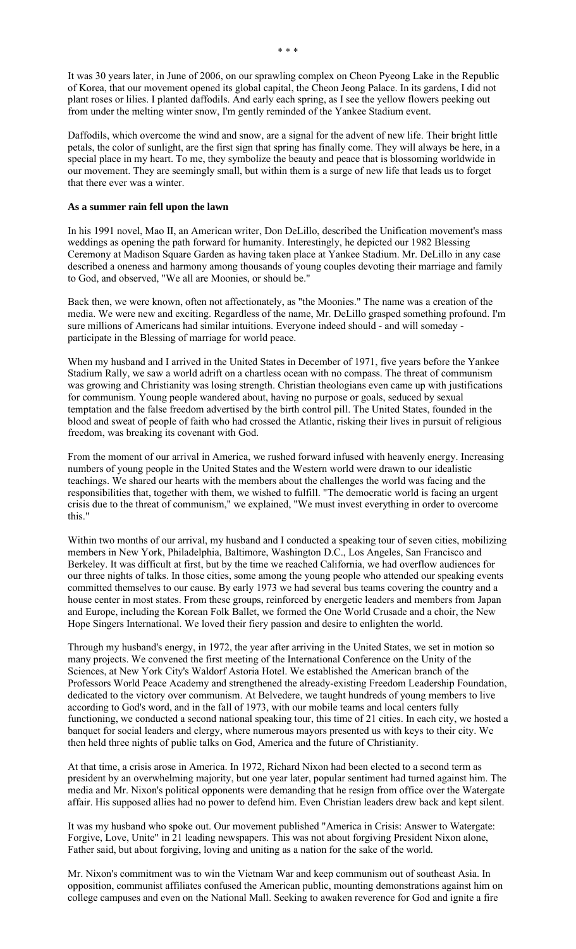It was 30 years later, in June of 2006, on our sprawling complex on Cheon Pyeong Lake in the Republic of Korea, that our movement opened its global capital, the Cheon Jeong Palace. In its gardens, I did not plant roses or lilies. I planted daffodils. And early each spring, as I see the yellow flowers peeking out from under the melting winter snow, I'm gently reminded of the Yankee Stadium event.

Daffodils, which overcome the wind and snow, are a signal for the advent of new life. Their bright little petals, the color of sunlight, are the first sign that spring has finally come. They will always be here, in a special place in my heart. To me, they symbolize the beauty and peace that is blossoming worldwide in our movement. They are seemingly small, but within them is a surge of new life that leads us to forget that there ever was a winter.

#### **As a summer rain fell upon the lawn**

In his 1991 novel, Mao II, an American writer, Don DeLillo, described the Unification movement's mass weddings as opening the path forward for humanity. Interestingly, he depicted our 1982 Blessing Ceremony at Madison Square Garden as having taken place at Yankee Stadium. Mr. DeLillo in any case described a oneness and harmony among thousands of young couples devoting their marriage and family to God, and observed, "We all are Moonies, or should be."

Back then, we were known, often not affectionately, as "the Moonies." The name was a creation of the media. We were new and exciting. Regardless of the name, Mr. DeLillo grasped something profound. I'm sure millions of Americans had similar intuitions. Everyone indeed should - and will someday participate in the Blessing of marriage for world peace.

When my husband and I arrived in the United States in December of 1971, five years before the Yankee Stadium Rally, we saw a world adrift on a chartless ocean with no compass. The threat of communism was growing and Christianity was losing strength. Christian theologians even came up with justifications for communism. Young people wandered about, having no purpose or goals, seduced by sexual temptation and the false freedom advertised by the birth control pill. The United States, founded in the blood and sweat of people of faith who had crossed the Atlantic, risking their lives in pursuit of religious freedom, was breaking its covenant with God.

From the moment of our arrival in America, we rushed forward infused with heavenly energy. Increasing numbers of young people in the United States and the Western world were drawn to our idealistic teachings. We shared our hearts with the members about the challenges the world was facing and the responsibilities that, together with them, we wished to fulfill. "The democratic world is facing an urgent crisis due to the threat of communism," we explained, "We must invest everything in order to overcome this."

Within two months of our arrival, my husband and I conducted a speaking tour of seven cities, mobilizing members in New York, Philadelphia, Baltimore, Washington D.C., Los Angeles, San Francisco and Berkeley. It was difficult at first, but by the time we reached California, we had overflow audiences for our three nights of talks. In those cities, some among the young people who attended our speaking events committed themselves to our cause. By early 1973 we had several bus teams covering the country and a house center in most states. From these groups, reinforced by energetic leaders and members from Japan and Europe, including the Korean Folk Ballet, we formed the One World Crusade and a choir, the New Hope Singers International. We loved their fiery passion and desire to enlighten the world.

Through my husband's energy, in 1972, the year after arriving in the United States, we set in motion so many projects. We convened the first meeting of the International Conference on the Unity of the Sciences, at New York City's Waldorf Astoria Hotel. We established the American branch of the Professors World Peace Academy and strengthened the already-existing Freedom Leadership Foundation, dedicated to the victory over communism. At Belvedere, we taught hundreds of young members to live according to God's word, and in the fall of 1973, with our mobile teams and local centers fully functioning, we conducted a second national speaking tour, this time of 21 cities. In each city, we hosted a banquet for social leaders and clergy, where numerous mayors presented us with keys to their city. We then held three nights of public talks on God, America and the future of Christianity.

At that time, a crisis arose in America. In 1972, Richard Nixon had been elected to a second term as president by an overwhelming majority, but one year later, popular sentiment had turned against him. The media and Mr. Nixon's political opponents were demanding that he resign from office over the Watergate affair. His supposed allies had no power to defend him. Even Christian leaders drew back and kept silent.

It was my husband who spoke out. Our movement published "America in Crisis: Answer to Watergate: Forgive, Love, Unite" in 21 leading newspapers. This was not about forgiving President Nixon alone, Father said, but about forgiving, loving and uniting as a nation for the sake of the world.

Mr. Nixon's commitment was to win the Vietnam War and keep communism out of southeast Asia. In opposition, communist affiliates confused the American public, mounting demonstrations against him on college campuses and even on the National Mall. Seeking to awaken reverence for God and ignite a fire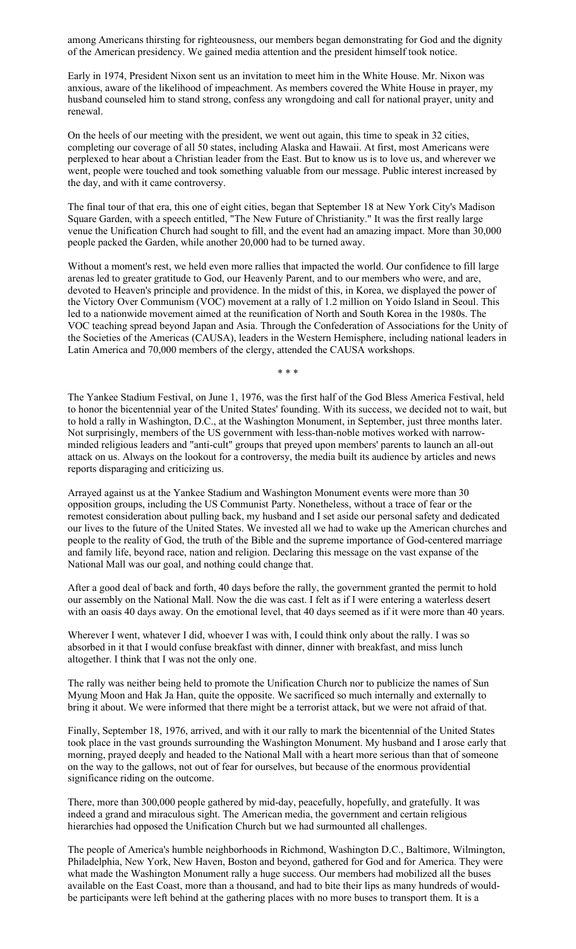among Americans thirsting for righteousness, our members began demonstrating for God and the dignity of the American presidency. We gained media attention and the president himself took notice.

Early in 1974, President Nixon sent us an invitation to meet him in the White House. Mr. Nixon was anxious, aware of the likelihood of impeachment. As members covered the White House in prayer, my husband counseled him to stand strong, confess any wrongdoing and call for national prayer, unity and renewal.

On the heels of our meeting with the president, we went out again, this time to speak in 32 cities, completing our coverage of all 50 states, including Alaska and Hawaii. At first, most Americans were perplexed to hear about a Christian leader from the East. But to know us is to love us, and wherever we went, people were touched and took something valuable from our message. Public interest increased by the day, and with it came controversy.

The final tour of that era, this one of eight cities, began that September 18 at New York City's Madison Square Garden, with a speech entitled, "The New Future of Christianity." It was the first really large venue the Unification Church had sought to fill, and the event had an amazing impact. More than 30,000 people packed the Garden, while another 20,000 had to be turned away.

Without a moment's rest, we held even more rallies that impacted the world. Our confidence to fill large arenas led to greater gratitude to God, our Heavenly Parent, and to our members who were, and are, devoted to Heaven's principle and providence. In the midst of this, in Korea, we displayed the power of the Victory Over Communism (VOC) movement at a rally of 1.2 million on Yoido Island in Seoul. This led to a nationwide movement aimed at the reunification of North and South Korea in the 1980s. The VOC teaching spread beyond Japan and Asia. Through the Confederation of Associations for the Unity of the Societies of the Americas (CAUSA), leaders in the Western Hemisphere, including national leaders in Latin America and 70,000 members of the clergy, attended the CAUSA workshops.

\* \* \*

The Yankee Stadium Festival, on June 1, 1976, was the first half of the God Bless America Festival, held to honor the bicentennial year of the United States' founding. With its success, we decided not to wait, but to hold a rally in Washington, D.C., at the Washington Monument, in September, just three months later. Not surprisingly, members of the US government with less-than-noble motives worked with narrowminded religious leaders and "anti-cult" groups that preyed upon members' parents to launch an all-out attack on us. Always on the lookout for a controversy, the media built its audience by articles and news reports disparaging and criticizing us.

Arrayed against us at the Yankee Stadium and Washington Monument events were more than 30 opposition groups, including the US Communist Party. Nonetheless, without a trace of fear or the remotest consideration about pulling back, my husband and I set aside our personal safety and dedicated our lives to the future of the United States. We invested all we had to wake up the American churches and people to the reality of God, the truth of the Bible and the supreme importance of God-centered marriage and family life, beyond race, nation and religion. Declaring this message on the vast expanse of the National Mall was our goal, and nothing could change that.

After a good deal of back and forth, 40 days before the rally, the government granted the permit to hold our assembly on the National Mall. Now the die was cast. I felt as if I were entering a waterless desert with an oasis 40 days away. On the emotional level, that 40 days seemed as if it were more than 40 years.

Wherever I went, whatever I did, whoever I was with, I could think only about the rally. I was so absorbed in it that I would confuse breakfast with dinner, dinner with breakfast, and miss lunch altogether. I think that I was not the only one.

The rally was neither being held to promote the Unification Church nor to publicize the names of Sun Myung Moon and Hak Ja Han, quite the opposite. We sacrificed so much internally and externally to bring it about. We were informed that there might be a terrorist attack, but we were not afraid of that.

Finally, September 18, 1976, arrived, and with it our rally to mark the bicentennial of the United States took place in the vast grounds surrounding the Washington Monument. My husband and I arose early that morning, prayed deeply and headed to the National Mall with a heart more serious than that of someone on the way to the gallows, not out of fear for ourselves, but because of the enormous providential significance riding on the outcome.

There, more than 300,000 people gathered by mid-day, peacefully, hopefully, and gratefully. It was indeed a grand and miraculous sight. The American media, the government and certain religious hierarchies had opposed the Unification Church but we had surmounted all challenges.

The people of America's humble neighborhoods in Richmond, Washington D.C., Baltimore, Wilmington, Philadelphia, New York, New Haven, Boston and beyond, gathered for God and for America. They were what made the Washington Monument rally a huge success. Our members had mobilized all the buses available on the East Coast, more than a thousand, and had to bite their lips as many hundreds of wouldbe participants were left behind at the gathering places with no more buses to transport them. It is a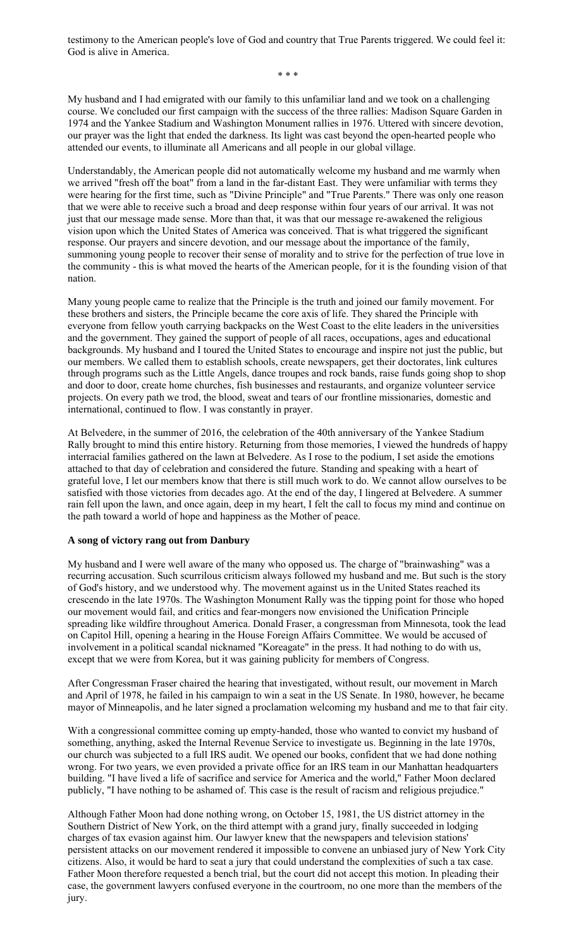testimony to the American people's love of God and country that True Parents triggered. We could feel it: God is alive in America.

\* \* \*

My husband and I had emigrated with our family to this unfamiliar land and we took on a challenging course. We concluded our first campaign with the success of the three rallies: Madison Square Garden in 1974 and the Yankee Stadium and Washington Monument rallies in 1976. Uttered with sincere devotion, our prayer was the light that ended the darkness. Its light was cast beyond the open-hearted people who attended our events, to illuminate all Americans and all people in our global village.

Understandably, the American people did not automatically welcome my husband and me warmly when we arrived "fresh off the boat" from a land in the far-distant East. They were unfamiliar with terms they were hearing for the first time, such as "Divine Principle" and "True Parents." There was only one reason that we were able to receive such a broad and deep response within four years of our arrival. It was not just that our message made sense. More than that, it was that our message re-awakened the religious vision upon which the United States of America was conceived. That is what triggered the significant response. Our prayers and sincere devotion, and our message about the importance of the family, summoning young people to recover their sense of morality and to strive for the perfection of true love in the community - this is what moved the hearts of the American people, for it is the founding vision of that nation.

Many young people came to realize that the Principle is the truth and joined our family movement. For these brothers and sisters, the Principle became the core axis of life. They shared the Principle with everyone from fellow youth carrying backpacks on the West Coast to the elite leaders in the universities and the government. They gained the support of people of all races, occupations, ages and educational backgrounds. My husband and I toured the United States to encourage and inspire not just the public, but our members. We called them to establish schools, create newspapers, get their doctorates, link cultures through programs such as the Little Angels, dance troupes and rock bands, raise funds going shop to shop and door to door, create home churches, fish businesses and restaurants, and organize volunteer service projects. On every path we trod, the blood, sweat and tears of our frontline missionaries, domestic and international, continued to flow. I was constantly in prayer.

At Belvedere, in the summer of 2016, the celebration of the 40th anniversary of the Yankee Stadium Rally brought to mind this entire history. Returning from those memories, I viewed the hundreds of happy interracial families gathered on the lawn at Belvedere. As I rose to the podium, I set aside the emotions attached to that day of celebration and considered the future. Standing and speaking with a heart of grateful love, I let our members know that there is still much work to do. We cannot allow ourselves to be satisfied with those victories from decades ago. At the end of the day, I lingered at Belvedere. A summer rain fell upon the lawn, and once again, deep in my heart, I felt the call to focus my mind and continue on the path toward a world of hope and happiness as the Mother of peace.

## **A song of victory rang out from Danbury**

My husband and I were well aware of the many who opposed us. The charge of "brainwashing" was a recurring accusation. Such scurrilous criticism always followed my husband and me. But such is the story of God's history, and we understood why. The movement against us in the United States reached its crescendo in the late 1970s. The Washington Monument Rally was the tipping point for those who hoped our movement would fail, and critics and fear-mongers now envisioned the Unification Principle spreading like wildfire throughout America. Donald Fraser, a congressman from Minnesota, took the lead on Capitol Hill, opening a hearing in the House Foreign Affairs Committee. We would be accused of involvement in a political scandal nicknamed "Koreagate" in the press. It had nothing to do with us, except that we were from Korea, but it was gaining publicity for members of Congress.

After Congressman Fraser chaired the hearing that investigated, without result, our movement in March and April of 1978, he failed in his campaign to win a seat in the US Senate. In 1980, however, he became mayor of Minneapolis, and he later signed a proclamation welcoming my husband and me to that fair city.

With a congressional committee coming up empty-handed, those who wanted to convict my husband of something, anything, asked the Internal Revenue Service to investigate us. Beginning in the late 1970s, our church was subjected to a full IRS audit. We opened our books, confident that we had done nothing wrong. For two years, we even provided a private office for an IRS team in our Manhattan headquarters building. "I have lived a life of sacrifice and service for America and the world," Father Moon declared publicly, "I have nothing to be ashamed of. This case is the result of racism and religious prejudice."

Although Father Moon had done nothing wrong, on October 15, 1981, the US district attorney in the Southern District of New York, on the third attempt with a grand jury, finally succeeded in lodging charges of tax evasion against him. Our lawyer knew that the newspapers and television stations' persistent attacks on our movement rendered it impossible to convene an unbiased jury of New York City citizens. Also, it would be hard to seat a jury that could understand the complexities of such a tax case. Father Moon therefore requested a bench trial, but the court did not accept this motion. In pleading their case, the government lawyers confused everyone in the courtroom, no one more than the members of the jury.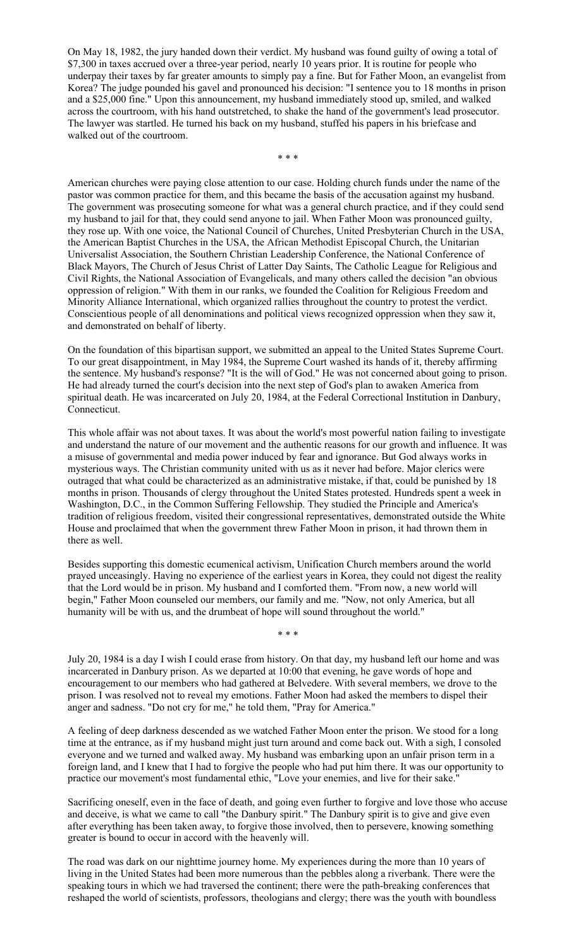On May 18, 1982, the jury handed down their verdict. My husband was found guilty of owing a total of \$7,300 in taxes accrued over a three-year period, nearly 10 years prior. It is routine for people who underpay their taxes by far greater amounts to simply pay a fine. But for Father Moon, an evangelist from Korea? The judge pounded his gavel and pronounced his decision: "I sentence you to 18 months in prison and a \$25,000 fine." Upon this announcement, my husband immediately stood up, smiled, and walked across the courtroom, with his hand outstretched, to shake the hand of the government's lead prosecutor. The lawyer was startled. He turned his back on my husband, stuffed his papers in his briefcase and walked out of the courtroom.

\* \* \*

American churches were paying close attention to our case. Holding church funds under the name of the pastor was common practice for them, and this became the basis of the accusation against my husband. The government was prosecuting someone for what was a general church practice, and if they could send my husband to jail for that, they could send anyone to jail. When Father Moon was pronounced guilty, they rose up. With one voice, the National Council of Churches, United Presbyterian Church in the USA, the American Baptist Churches in the USA, the African Methodist Episcopal Church, the Unitarian Universalist Association, the Southern Christian Leadership Conference, the National Conference of Black Mayors, The Church of Jesus Christ of Latter Day Saints, The Catholic League for Religious and Civil Rights, the National Association of Evangelicals, and many others called the decision "an obvious oppression of religion." With them in our ranks, we founded the Coalition for Religious Freedom and Minority Alliance International, which organized rallies throughout the country to protest the verdict. Conscientious people of all denominations and political views recognized oppression when they saw it, and demonstrated on behalf of liberty.

On the foundation of this bipartisan support, we submitted an appeal to the United States Supreme Court. To our great disappointment, in May 1984, the Supreme Court washed its hands of it, thereby affirming the sentence. My husband's response? "It is the will of God." He was not concerned about going to prison. He had already turned the court's decision into the next step of God's plan to awaken America from spiritual death. He was incarcerated on July 20, 1984, at the Federal Correctional Institution in Danbury, Connecticut.

This whole affair was not about taxes. It was about the world's most powerful nation failing to investigate and understand the nature of our movement and the authentic reasons for our growth and influence. It was a misuse of governmental and media power induced by fear and ignorance. But God always works in mysterious ways. The Christian community united with us as it never had before. Major clerics were outraged that what could be characterized as an administrative mistake, if that, could be punished by 18 months in prison. Thousands of clergy throughout the United States protested. Hundreds spent a week in Washington, D.C., in the Common Suffering Fellowship. They studied the Principle and America's tradition of religious freedom, visited their congressional representatives, demonstrated outside the White House and proclaimed that when the government threw Father Moon in prison, it had thrown them in there as well.

Besides supporting this domestic ecumenical activism, Unification Church members around the world prayed unceasingly. Having no experience of the earliest years in Korea, they could not digest the reality that the Lord would be in prison. My husband and I comforted them. "From now, a new world will begin," Father Moon counseled our members, our family and me. "Now, not only America, but all humanity will be with us, and the drumbeat of hope will sound throughout the world."

\* \* \*

July 20, 1984 is a day I wish I could erase from history. On that day, my husband left our home and was incarcerated in Danbury prison. As we departed at 10:00 that evening, he gave words of hope and encouragement to our members who had gathered at Belvedere. With several members, we drove to the prison. I was resolved not to reveal my emotions. Father Moon had asked the members to dispel their anger and sadness. "Do not cry for me," he told them, "Pray for America."

A feeling of deep darkness descended as we watched Father Moon enter the prison. We stood for a long time at the entrance, as if my husband might just turn around and come back out. With a sigh, I consoled everyone and we turned and walked away. My husband was embarking upon an unfair prison term in a foreign land, and I knew that I had to forgive the people who had put him there. It was our opportunity to practice our movement's most fundamental ethic, "Love your enemies, and live for their sake."

Sacrificing oneself, even in the face of death, and going even further to forgive and love those who accuse and deceive, is what we came to call "the Danbury spirit." The Danbury spirit is to give and give even after everything has been taken away, to forgive those involved, then to persevere, knowing something greater is bound to occur in accord with the heavenly will.

The road was dark on our nighttime journey home. My experiences during the more than 10 years of living in the United States had been more numerous than the pebbles along a riverbank. There were the speaking tours in which we had traversed the continent; there were the path-breaking conferences that reshaped the world of scientists, professors, theologians and clergy; there was the youth with boundless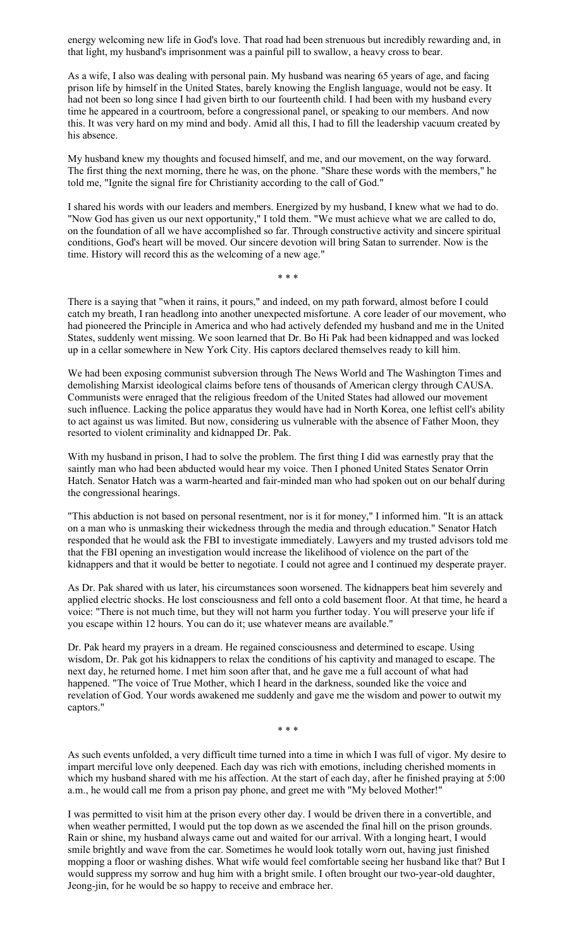energy welcoming new life in God's love. That road had been strenuous but incredibly rewarding and, in that light, my husband's imprisonment was a painful pill to swallow, a heavy cross to bear.

As a wife, I also was dealing with personal pain. My husband was nearing 65 years of age, and facing prison life by himself in the United States, barely knowing the English language, would not be easy. It had not been so long since I had given birth to our fourteenth child. I had been with my husband every time he appeared in a courtroom, before a congressional panel, or speaking to our members. And now this. It was very hard on my mind and body. Amid all this, I had to fill the leadership vacuum created by his absence.

My husband knew my thoughts and focused himself, and me, and our movement, on the way forward. The first thing the next morning, there he was, on the phone. "Share these words with the members," he told me, "Ignite the signal fire for Christianity according to the call of God."

I shared his words with our leaders and members. Energized by my husband, I knew what we had to do. "Now God has given us our next opportunity," I told them. "We must achieve what we are called to do, on the foundation of all we have accomplished so far. Through constructive activity and sincere spiritual conditions, God's heart will be moved. Our sincere devotion will bring Satan to surrender. Now is the time. History will record this as the welcoming of a new age."

\* \* \*

There is a saying that "when it rains, it pours," and indeed, on my path forward, almost before I could catch my breath, I ran headlong into another unexpected misfortune. A core leader of our movement, who had pioneered the Principle in America and who had actively defended my husband and me in the United States, suddenly went missing. We soon learned that Dr. Bo Hi Pak had been kidnapped and was locked up in a cellar somewhere in New York City. His captors declared themselves ready to kill him.

We had been exposing communist subversion through The News World and The Washington Times and demolishing Marxist ideological claims before tens of thousands of American clergy through CAUSA. Communists were enraged that the religious freedom of the United States had allowed our movement such influence. Lacking the police apparatus they would have had in North Korea, one leftist cell's ability to act against us was limited. But now, considering us vulnerable with the absence of Father Moon, they resorted to violent criminality and kidnapped Dr. Pak.

With my husband in prison, I had to solve the problem. The first thing I did was earnestly pray that the saintly man who had been abducted would hear my voice. Then I phoned United States Senator Orrin Hatch. Senator Hatch was a warm-hearted and fair-minded man who had spoken out on our behalf during the congressional hearings.

"This abduction is not based on personal resentment, nor is it for money," I informed him. "It is an attack on a man who is unmasking their wickedness through the media and through education." Senator Hatch responded that he would ask the FBI to investigate immediately. Lawyers and my trusted advisors told me that the FBI opening an investigation would increase the likelihood of violence on the part of the kidnappers and that it would be better to negotiate. I could not agree and I continued my desperate prayer.

As Dr. Pak shared with us later, his circumstances soon worsened. The kidnappers beat him severely and applied electric shocks. He lost consciousness and fell onto a cold basement floor. At that time, he heard a voice: "There is not much time, but they will not harm you further today. You will preserve your life if you escape within 12 hours. You can do it; use whatever means are available."

Dr. Pak heard my prayers in a dream. He regained consciousness and determined to escape. Using wisdom, Dr. Pak got his kidnappers to relax the conditions of his captivity and managed to escape. The next day, he returned home. I met him soon after that, and he gave me a full account of what had happened. "The voice of True Mother, which I heard in the darkness, sounded like the voice and revelation of God. Your words awakened me suddenly and gave me the wisdom and power to outwit my captors."

\* \* \*

As such events unfolded, a very difficult time turned into a time in which I was full of vigor. My desire to impart merciful love only deepened. Each day was rich with emotions, including cherished moments in which my husband shared with me his affection. At the start of each day, after he finished praying at 5:00 a.m., he would call me from a prison pay phone, and greet me with "My beloved Mother!"

I was permitted to visit him at the prison every other day. I would be driven there in a convertible, and when weather permitted, I would put the top down as we ascended the final hill on the prison grounds. Rain or shine, my husband always came out and waited for our arrival. With a longing heart, I would smile brightly and wave from the car. Sometimes he would look totally worn out, having just finished mopping a floor or washing dishes. What wife would feel comfortable seeing her husband like that? But I would suppress my sorrow and hug him with a bright smile. I often brought our two-year-old daughter, Jeong-jin, for he would be so happy to receive and embrace her.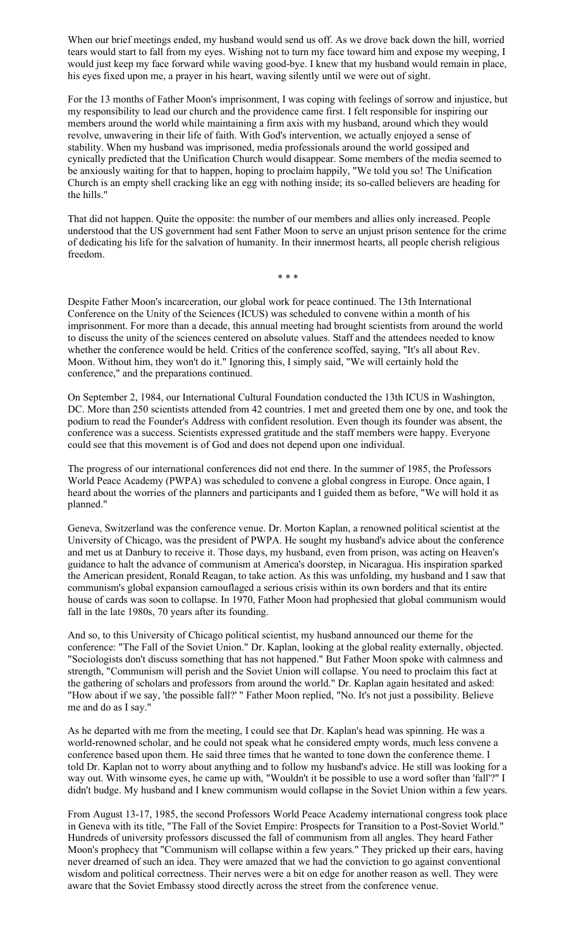When our brief meetings ended, my husband would send us off. As we drove back down the hill, worried tears would start to fall from my eyes. Wishing not to turn my face toward him and expose my weeping, I would just keep my face forward while waving good-bye. I knew that my husband would remain in place, his eyes fixed upon me, a prayer in his heart, waving silently until we were out of sight.

For the 13 months of Father Moon's imprisonment, I was coping with feelings of sorrow and injustice, but my responsibility to lead our church and the providence came first. I felt responsible for inspiring our members around the world while maintaining a firm axis with my husband, around which they would revolve, unwavering in their life of faith. With God's intervention, we actually enjoyed a sense of stability. When my husband was imprisoned, media professionals around the world gossiped and cynically predicted that the Unification Church would disappear. Some members of the media seemed to be anxiously waiting for that to happen, hoping to proclaim happily, "We told you so! The Unification Church is an empty shell cracking like an egg with nothing inside; its so-called believers are heading for the hills."

That did not happen. Quite the opposite: the number of our members and allies only increased. People understood that the US government had sent Father Moon to serve an unjust prison sentence for the crime of dedicating his life for the salvation of humanity. In their innermost hearts, all people cherish religious freedom.

\* \* \*

Despite Father Moon's incarceration, our global work for peace continued. The 13th International Conference on the Unity of the Sciences (ICUS) was scheduled to convene within a month of his imprisonment. For more than a decade, this annual meeting had brought scientists from around the world to discuss the unity of the sciences centered on absolute values. Staff and the attendees needed to know whether the conference would be held. Critics of the conference scoffed, saying, "It's all about Rev. Moon. Without him, they won't do it." Ignoring this, I simply said, "We will certainly hold the conference," and the preparations continued.

On September 2, 1984, our International Cultural Foundation conducted the 13th ICUS in Washington, DC. More than 250 scientists attended from 42 countries. I met and greeted them one by one, and took the podium to read the Founder's Address with confident resolution. Even though its founder was absent, the conference was a success. Scientists expressed gratitude and the staff members were happy. Everyone could see that this movement is of God and does not depend upon one individual.

The progress of our international conferences did not end there. In the summer of 1985, the Professors World Peace Academy (PWPA) was scheduled to convene a global congress in Europe. Once again, I heard about the worries of the planners and participants and I guided them as before, "We will hold it as planned."

Geneva, Switzerland was the conference venue. Dr. Morton Kaplan, a renowned political scientist at the University of Chicago, was the president of PWPA. He sought my husband's advice about the conference and met us at Danbury to receive it. Those days, my husband, even from prison, was acting on Heaven's guidance to halt the advance of communism at America's doorstep, in Nicaragua. His inspiration sparked the American president, Ronald Reagan, to take action. As this was unfolding, my husband and I saw that communism's global expansion camouflaged a serious crisis within its own borders and that its entire house of cards was soon to collapse. In 1970, Father Moon had prophesied that global communism would fall in the late 1980s, 70 years after its founding.

And so, to this University of Chicago political scientist, my husband announced our theme for the conference: "The Fall of the Soviet Union." Dr. Kaplan, looking at the global reality externally, objected. "Sociologists don't discuss something that has not happened." But Father Moon spoke with calmness and strength, "Communism will perish and the Soviet Union will collapse. You need to proclaim this fact at the gathering of scholars and professors from around the world." Dr. Kaplan again hesitated and asked: "How about if we say, 'the possible fall?' " Father Moon replied, "No. It's not just a possibility. Believe me and do as I say."

As he departed with me from the meeting, I could see that Dr. Kaplan's head was spinning. He was a world-renowned scholar, and he could not speak what he considered empty words, much less convene a conference based upon them. He said three times that he wanted to tone down the conference theme. I told Dr. Kaplan not to worry about anything and to follow my husband's advice. He still was looking for a way out. With winsome eyes, he came up with, "Wouldn't it be possible to use a word softer than 'fall'?" I didn't budge. My husband and I knew communism would collapse in the Soviet Union within a few years.

From August 13-17, 1985, the second Professors World Peace Academy international congress took place in Geneva with its title, "The Fall of the Soviet Empire: Prospects for Transition to a Post-Soviet World." Hundreds of university professors discussed the fall of communism from all angles. They heard Father Moon's prophecy that "Communism will collapse within a few years." They pricked up their ears, having never dreamed of such an idea. They were amazed that we had the conviction to go against conventional wisdom and political correctness. Their nerves were a bit on edge for another reason as well. They were aware that the Soviet Embassy stood directly across the street from the conference venue.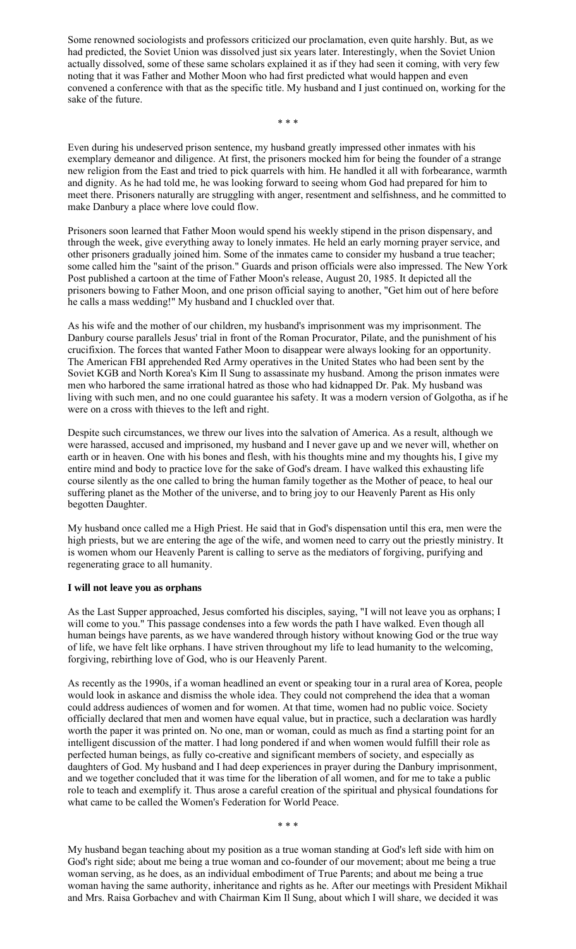Some renowned sociologists and professors criticized our proclamation, even quite harshly. But, as we had predicted, the Soviet Union was dissolved just six years later. Interestingly, when the Soviet Union actually dissolved, some of these same scholars explained it as if they had seen it coming, with very few noting that it was Father and Mother Moon who had first predicted what would happen and even convened a conference with that as the specific title. My husband and I just continued on, working for the sake of the future.

\* \* \*

Even during his undeserved prison sentence, my husband greatly impressed other inmates with his exemplary demeanor and diligence. At first, the prisoners mocked him for being the founder of a strange new religion from the East and tried to pick quarrels with him. He handled it all with forbearance, warmth and dignity. As he had told me, he was looking forward to seeing whom God had prepared for him to meet there. Prisoners naturally are struggling with anger, resentment and selfishness, and he committed to make Danbury a place where love could flow.

Prisoners soon learned that Father Moon would spend his weekly stipend in the prison dispensary, and through the week, give everything away to lonely inmates. He held an early morning prayer service, and other prisoners gradually joined him. Some of the inmates came to consider my husband a true teacher; some called him the "saint of the prison." Guards and prison officials were also impressed. The New York Post published a cartoon at the time of Father Moon's release, August 20, 1985. It depicted all the prisoners bowing to Father Moon, and one prison official saying to another, "Get him out of here before he calls a mass wedding!" My husband and I chuckled over that.

As his wife and the mother of our children, my husband's imprisonment was my imprisonment. The Danbury course parallels Jesus' trial in front of the Roman Procurator, Pilate, and the punishment of his crucifixion. The forces that wanted Father Moon to disappear were always looking for an opportunity. The American FBI apprehended Red Army operatives in the United States who had been sent by the Soviet KGB and North Korea's Kim Il Sung to assassinate my husband. Among the prison inmates were men who harbored the same irrational hatred as those who had kidnapped Dr. Pak. My husband was living with such men, and no one could guarantee his safety. It was a modern version of Golgotha, as if he were on a cross with thieves to the left and right.

Despite such circumstances, we threw our lives into the salvation of America. As a result, although we were harassed, accused and imprisoned, my husband and I never gave up and we never will, whether on earth or in heaven. One with his bones and flesh, with his thoughts mine and my thoughts his, I give my entire mind and body to practice love for the sake of God's dream. I have walked this exhausting life course silently as the one called to bring the human family together as the Mother of peace, to heal our suffering planet as the Mother of the universe, and to bring joy to our Heavenly Parent as His only begotten Daughter.

My husband once called me a High Priest. He said that in God's dispensation until this era, men were the high priests, but we are entering the age of the wife, and women need to carry out the priestly ministry. It is women whom our Heavenly Parent is calling to serve as the mediators of forgiving, purifying and regenerating grace to all humanity.

## **I will not leave you as orphans**

As the Last Supper approached, Jesus comforted his disciples, saying, "I will not leave you as orphans; I will come to you." This passage condenses into a few words the path I have walked. Even though all human beings have parents, as we have wandered through history without knowing God or the true way of life, we have felt like orphans. I have striven throughout my life to lead humanity to the welcoming, forgiving, rebirthing love of God, who is our Heavenly Parent.

As recently as the 1990s, if a woman headlined an event or speaking tour in a rural area of Korea, people would look in askance and dismiss the whole idea. They could not comprehend the idea that a woman could address audiences of women and for women. At that time, women had no public voice. Society officially declared that men and women have equal value, but in practice, such a declaration was hardly worth the paper it was printed on. No one, man or woman, could as much as find a starting point for an intelligent discussion of the matter. I had long pondered if and when women would fulfill their role as perfected human beings, as fully co-creative and significant members of society, and especially as daughters of God. My husband and I had deep experiences in prayer during the Danbury imprisonment, and we together concluded that it was time for the liberation of all women, and for me to take a public role to teach and exemplify it. Thus arose a careful creation of the spiritual and physical foundations for what came to be called the Women's Federation for World Peace.

\* \* \*

My husband began teaching about my position as a true woman standing at God's left side with him on God's right side; about me being a true woman and co-founder of our movement; about me being a true woman serving, as he does, as an individual embodiment of True Parents; and about me being a true woman having the same authority, inheritance and rights as he. After our meetings with President Mikhail and Mrs. Raisa Gorbachev and with Chairman Kim Il Sung, about which I will share, we decided it was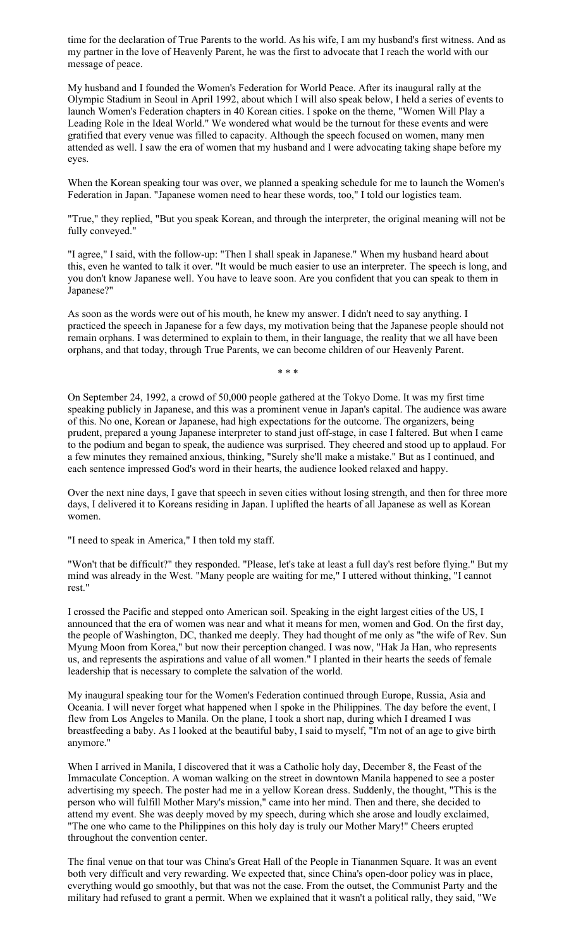time for the declaration of True Parents to the world. As his wife, I am my husband's first witness. And as my partner in the love of Heavenly Parent, he was the first to advocate that I reach the world with our message of peace.

My husband and I founded the Women's Federation for World Peace. After its inaugural rally at the Olympic Stadium in Seoul in April 1992, about which I will also speak below, I held a series of events to launch Women's Federation chapters in 40 Korean cities. I spoke on the theme, "Women Will Play a Leading Role in the Ideal World." We wondered what would be the turnout for these events and were gratified that every venue was filled to capacity. Although the speech focused on women, many men attended as well. I saw the era of women that my husband and I were advocating taking shape before my eyes.

When the Korean speaking tour was over, we planned a speaking schedule for me to launch the Women's Federation in Japan. "Japanese women need to hear these words, too," I told our logistics team.

"True," they replied, "But you speak Korean, and through the interpreter, the original meaning will not be fully conveyed."

"I agree," I said, with the follow-up: "Then I shall speak in Japanese." When my husband heard about this, even he wanted to talk it over. "It would be much easier to use an interpreter. The speech is long, and you don't know Japanese well. You have to leave soon. Are you confident that you can speak to them in Japanese?"

As soon as the words were out of his mouth, he knew my answer. I didn't need to say anything. I practiced the speech in Japanese for a few days, my motivation being that the Japanese people should not remain orphans. I was determined to explain to them, in their language, the reality that we all have been orphans, and that today, through True Parents, we can become children of our Heavenly Parent.

\* \* \*

On September 24, 1992, a crowd of 50,000 people gathered at the Tokyo Dome. It was my first time speaking publicly in Japanese, and this was a prominent venue in Japan's capital. The audience was aware of this. No one, Korean or Japanese, had high expectations for the outcome. The organizers, being prudent, prepared a young Japanese interpreter to stand just off-stage, in case I faltered. But when I came to the podium and began to speak, the audience was surprised. They cheered and stood up to applaud. For a few minutes they remained anxious, thinking, "Surely she'll make a mistake." But as I continued, and each sentence impressed God's word in their hearts, the audience looked relaxed and happy.

Over the next nine days, I gave that speech in seven cities without losing strength, and then for three more days, I delivered it to Koreans residing in Japan. I uplifted the hearts of all Japanese as well as Korean women.

"I need to speak in America," I then told my staff.

"Won't that be difficult?" they responded. "Please, let's take at least a full day's rest before flying." But my mind was already in the West. "Many people are waiting for me," I uttered without thinking, "I cannot rest."

I crossed the Pacific and stepped onto American soil. Speaking in the eight largest cities of the US, I announced that the era of women was near and what it means for men, women and God. On the first day, the people of Washington, DC, thanked me deeply. They had thought of me only as "the wife of Rev. Sun Myung Moon from Korea," but now their perception changed. I was now, "Hak Ja Han, who represents us, and represents the aspirations and value of all women." I planted in their hearts the seeds of female leadership that is necessary to complete the salvation of the world.

My inaugural speaking tour for the Women's Federation continued through Europe, Russia, Asia and Oceania. I will never forget what happened when I spoke in the Philippines. The day before the event, I flew from Los Angeles to Manila. On the plane, I took a short nap, during which I dreamed I was breastfeeding a baby. As I looked at the beautiful baby, I said to myself, "I'm not of an age to give birth anymore."

When I arrived in Manila, I discovered that it was a Catholic holy day, December 8, the Feast of the Immaculate Conception. A woman walking on the street in downtown Manila happened to see a poster advertising my speech. The poster had me in a yellow Korean dress. Suddenly, the thought, "This is the person who will fulfill Mother Mary's mission," came into her mind. Then and there, she decided to attend my event. She was deeply moved by my speech, during which she arose and loudly exclaimed, "The one who came to the Philippines on this holy day is truly our Mother Mary!" Cheers erupted throughout the convention center.

The final venue on that tour was China's Great Hall of the People in Tiananmen Square. It was an event both very difficult and very rewarding. We expected that, since China's open-door policy was in place, everything would go smoothly, but that was not the case. From the outset, the Communist Party and the military had refused to grant a permit. When we explained that it wasn't a political rally, they said, "We